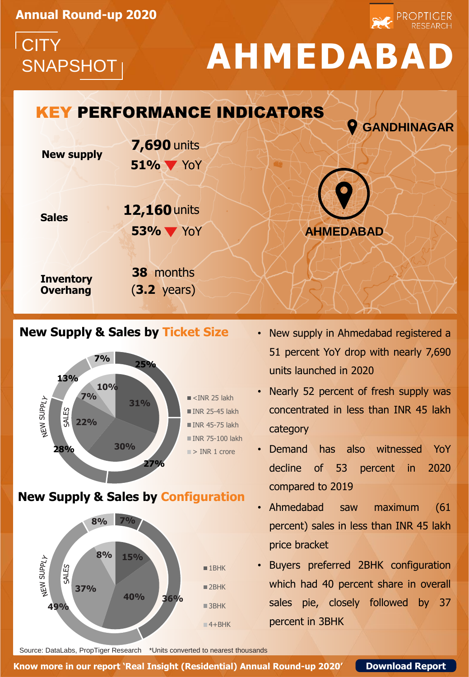**Annual Round-up 2020**

**CITY** 

# SNAPSHOT **AHMEDABAD**

PROPTIGER

## **AHMEDABAD New supply Sales Inventory Overhang 51%** YoY **GANDHINAGAR** KEY PERFORMANCE INDICATORS **38** months (**3.2** years) **7,690** units **53%** YoY **12,160** units

### **New Supply & Sales by Ticket Size**



**New Supply & Sales by Configuration**



- New supply in Ahmedabad registered a 51 percent YoY drop with nearly 7,690 units launched in 2020
- Nearly 52 percent of fresh supply was concentrated in less than INR 45 lakh category
- Demand has also witnessed YoY decline of 53 percent in 2020 compared to 2019
- Ahmedabad saw maximum (61 percent) sales in less than INR 45 lakh price bracket
- Buyers preferred 2BHK configuration which had 40 percent share in overall sales pie, closely followed by 37 percent in 3BHK

Source: DataLabs, PropTiger Research \*Units converted to nearest thousands

**Know more in our report 'Real Insight (Residential) Annual Round-up 2020' [Download Report](http://bit.ly/39jbBE1)**